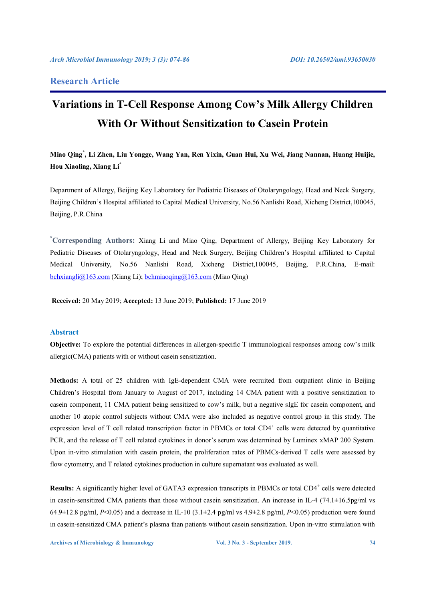## **Research Article**

# **Variations in T-Cell Response Among Cow's Milk Allergy Children With Or Without Sensitization to Casein Protein**

**Miao Qing\* , Li Zhen, Liu Yongge, Wang Yan, Ren Yixin, Guan Hui, Xu Wei, Jiang Nannan, Huang Huijie, Hou Xiaoling, Xiang Li\***

Department of Allergy, Beijing Key Laboratory for Pediatric Diseases of Otolaryngology, Head and Neck Surgery, Beijing Children's Hospital affiliated to Capital Medical University, No.56 Nanlishi Road, Xicheng District,100045, Beijing, P.R.China

**\* Corresponding Authors:** Xiang Li and Miao Qing, Department of Allergy, Beijing Key Laboratory for Pediatric Diseases of Otolaryngology, Head and Neck Surgery, Beijing Children's Hospital affiliated to Capital Medical University, No.56 Nanlishi Road, Xicheng District,100045, Beijing, P.R.China, E-mail: bchxiangli@163.com (Xiang Li); bchmiaoqing@163.com (Miao Qing)

**Received:** 20 May 2019; **Accepted:** 13 June 2019; **Published:** 17 June 2019

### **Abstract**

**Objective:** To explore the potential differences in allergen-specific T immunological responses among cow's milk allergic(CMA) patients with or without casein sensitization.

**Methods:** A total of 25 children with IgE-dependent CMA were recruited from outpatient clinic in Beijing Children's Hospital from January to August of 2017, including 14 CMA patient with a positive sensitization to casein component, 11 CMA patient being sensitized to cow's milk, but a negative sIgE for casein component, and another 10 atopic control subjects without CMA were also included as negative control group in this study. The expression level of T cell related transcription factor in PBMCs or total CD4<sup>+</sup> cells were detected by quantitative PCR, and the release of T cell related cytokines in donor's serum was determined by Luminex xMAP 200 System. Upon in-vitro stimulation with casein protein, the proliferation rates of PBMCs-derived T cells were assessed by flow cytometry, and T related cytokines production in culture supernatant was evaluated as well.

Results: A significantly higher level of GATA3 expression transcripts in PBMCs or total CD4<sup>+</sup> cells were detected in casein-sensitized CMA patients than those without casein sensitization. An increase in IL-4 (74.1±16.5pg/ml vs 64.9±12.8 pg/ml,  $P \le 0.05$  and a decrease in IL-10 (3.1±2.4 pg/ml vs 4.9±2.8 pg/ml,  $P \le 0.05$ ) production were found in casein-sensitized CMA patient's plasma than patients without casein sensitization. Upon in-vitro stimulation with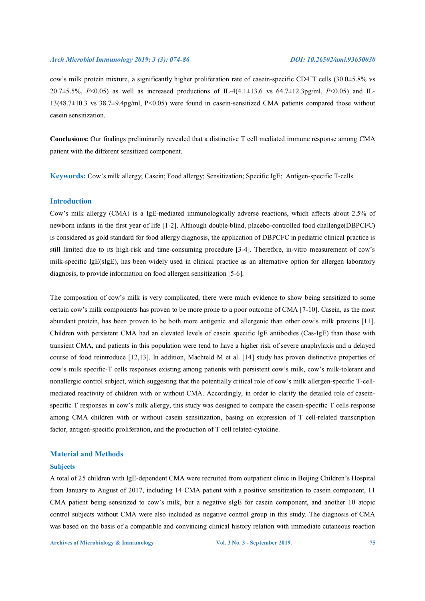cow's milk protein mixture, a significantly higher proliferation rate of casein-specific CD4+T cells (30.0±5.8% vs 20.7±5.5%, *P*<0.05) as well as increased productions of IL-4(4.1±13.6 vs 64.7±12.3pg/ml, *P*<0.05) and IL-13(48.7±10.3 vs 38.7±9.4pg/ml, P<0.05) were found in casein-sensitized CMA patients compared those without casein sensitization.

**Conclusions:** Our findings preliminarily revealed that a distinctive T cell mediated immune response among CMA patient with the different sensitized component.

**Keywords:** Cow's milk allergy; Casein; Food allergy; Sensitization; Specific IgE; Antigen-specific T-cells

### **Introduction**

Cow's milk allergy (CMA) is a IgE-mediated immunologically adverse reactions, which affects about 2.5% of newborn infants in the first year of life [1-2]. Although double-blind, placebo-controlled food challenge(DBPCFC) is considered as gold standard for food allergy diagnosis, the application of DBPCFC in pediatric clinical practice is still limited due to its high-risk and time-consuming procedure [3-4]. Therefore, in-vitro measurement of cow's milk-specific IgE(sIgE), has been widely used in clinical practice as an alternative option for allergen laboratory diagnosis, to provide information on food allergen sensitization [5-6].

The composition of cow's milk is very complicated, there were much evidence to show being sensitized to some certain cow's milk components has proven to be more prone to a poor outcome of CMA [7-10]. Casein, as the most abundant protein, has been proven to be both more antigenic and allergenic than other cow's milk proteins [11]. Children with persistent CMA had an elevated levels of casein specific IgE antibodies (Cas-IgE) than those with transient CMA, and patients in this population were tend to have a higher risk of severe anaphylaxis and a delayed course of food reintroduce [12,13]. In addition, Machteld M et al. [14] study has proven distinctive properties of cow's milk specific-T cells responses existing among patients with persistent cow's milk, cow's milk-tolerant and nonallergic control subject, which suggesting that the potentially critical role of cow's milk allergen-specific T-cellmediated reactivity of children with or without CMA. Accordingly, in order to clarify the detailed role of caseinspecific T responses in cow's milk allergy, this study was designed to compare the casein-specific T cells response among CMA children with or without casein sensitization, basing on expression of T cell-related transcription factor, antigen-specific proliferation, and the production of T cell related-cytokine.

#### **Material and Methods**

#### **Subjects**

A total of 25 children with IgE-dependent CMA were recruited from outpatient clinic in Beijing Children's Hospital from January to August of 2017, including 14 CMA patient with a positive sensitization to casein component, 11 CMA patient being sensitized to cow's milk, but a negative sIgE for casein component, and another 10 atopic control subjects without CMA were also included as negative control group in this study. The diagnosis of CMA was based on the basis of a compatible and convincing clinical history relation with immediate cutaneous reaction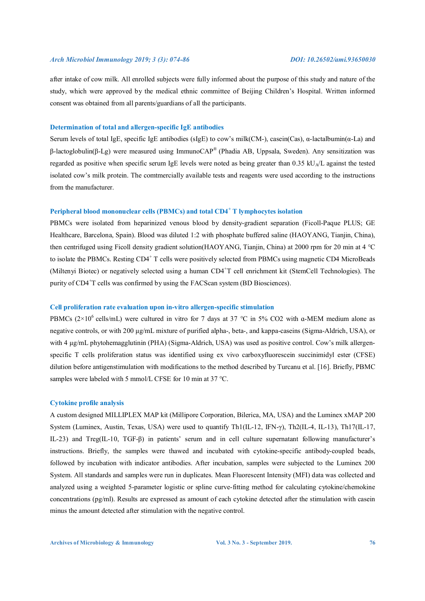after intake of cow milk. All enrolled subjects were fully informed about the purpose of this study and nature of the study, which were approved by the medical ethnic committee of Beijing Children's Hospital. Written informed consent was obtained from all parents/guardians of all the participants.

#### **Determination of total and allergen-specific IgE antibodies**

Serum levels of total IgE, specific IgE antibodies (sIgE) to cow's milk(CM-), casein(Cas), α-lactalbumin(α-La) and β-lactoglobulin(β-Lg) were measured using ImmunoCAP® (Phadia AB, Uppsala, Sweden). Any sensitization was regarded as positive when specific serum IgE levels were noted as being greater than  $0.35 \text{ kU}_A/L$  against the tested isolated cow's milk protein. The comtmercially available tests and reagents were used according to the instructions from the manufacturer.

### **Peripheral blood mononuclear cells (PBMCs) and total CD4<sup>+</sup> T lymphocytes isolation**

PBMCs were isolated from heparinized venous blood by density-gradient separation (Ficoll-Paque PLUS; GE Healthcare, Barcelona, Spain). Blood was diluted 1:2 with phosphate buffered saline (HAOYANG, Tianjin, China), then centrifuged using Ficoll density gradient solution(HAOYANG, Tianjin, China) at 2000 rpm for 20 min at 4 ℃ to isolate the PBMCs. Resting CD4+ T cells were positively selected from PBMCs using magnetic CD4 MicroBeads (Miltenyi Biotec) or negatively selected using a human CD4+T cell enrichment kit (StemCell Technologies). The purity of CD4<sup>+</sup>T cells was confirmed by using the FACScan system (BD Biosciences).

#### **Cell proliferation rate evaluation upon in-vitro allergen-specific stimulation**

PBMCs  $(2\times10^6 \text{ cells/mL})$  were cultured in vitro for 7 days at 37 °C in 5% CO2 with a-MEM medium alone as negative controls, or with 200 μg/mL mixture of purified alpha-, beta-, and kappa-caseins (Sigma-Aldrich, USA), or with 4 μg/mL phytohemagglutinin (PHA) (Sigma-Aldrich, USA) was used as positive control. Cow's milk allergenspecific T cells proliferation status was identified using ex vivo carboxyfluorescein succinimidyl ester (CFSE) dilution before antigenstimulation with modifications to the method described by Turcanu et al. [16]. Briefly, PBMC samples were labeled with 5 mmol/L CFSE for 10 min at 37 °C.

### **Cytokine profile analysis**

A custom designed MILLIPLEX MAP kit (Millipore Corporation, Bilerica, MA, USA) and the Luminex xMAP 200 System (Luminex, Austin, Texas, USA) were used to quantify Th1(IL-12, IFN-γ), Th2(IL-4, IL-13), Th17(IL-17, IL-23) and Treg(IL-10, TGF-β) in patients' serum and in cell culture supernatant following manufacturer's instructions. Briefly, the samples were thawed and incubated with cytokine-specific antibody-coupled beads, followed by incubation with indicator antibodies. After incubation, samples were subjected to the Luminex 200 System. All standards and samples were run in duplicates. Mean Fluorescent Intensity (MFI) data was collected and analyzed using a weighted 5-parameter logistic or spline curve-fitting method for calculating cytokine/chemokine concentrations (pg/ml). Results are expressed as amount of each cytokine detected after the stimulation with casein minus the amount detected after stimulation with the negative control.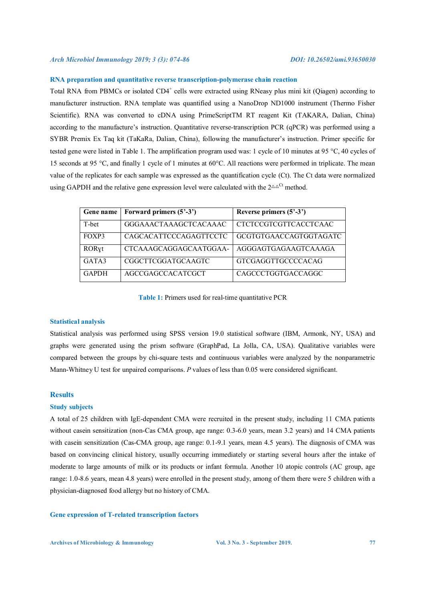### **RNA preparation and quantitative reverse transcription-polymerase chain reaction**

Total RNA from PBMCs or isolated CD4<sup>+</sup> cells were extracted using RNeasy plus mini kit (Qiagen) according to manufacturer instruction. RNA template was quantified using a NanoDrop ND1000 instrument (Thermo Fisher Scientific). RNA was converted to cDNA using PrimeScriptTM RT reagent Kit (TAKARA, Dalian, China) according to the manufacture's instruction. Quantitative reverse-transcription PCR (qPCR) was performed using a SYBR Premix Ex Taq kit (TaKaRa, Dalian, China), following the manufacturer's instruction. Primer specific for tested gene were listed in Table 1. The amplification program used was: 1 cycle of 10 minutes at 95 °C, 40 cycles of 15 seconds at 95 °C, and finally 1 cycle of 1 minutes at 60°C. All reactions were performed in triplicate. The mean value of the replicates for each sample was expressed as the quantification cycle (Ct). The Ct data were normalized using GAPDH and the relative gene expression level were calculated with the  $2^{\Delta\Delta^{Ct}}$  method.

| Gene name    | Forward primers (5'-3') | Reverse primers $(5^2-3^2)$  |
|--------------|-------------------------|------------------------------|
| T-bet        | GGGAAACTAAAGCTCACAAAC   | <b>CTCTCCGTCGTTCACCTCAAC</b> |
| FOXP3        | CAGCACATTCCCAGAGTTCCTC  | GCGTGTGAACCAGTGGTAGATC       |
| RORyt        | CTCAAAGCAGGAGCAATGGAA-  | AGGGAGTGAGAAGTCAAAGA         |
| GATA3        | CGGCTTCGGATGCAAGTC      | <b>GTCGAGGTTGCCCCACAG</b>    |
| <b>GAPDH</b> | AGCCGAGCCACATCGCT       | CAGCCCTGGTGACCAGGC           |

#### **Table 1:** Primers used for real-time quantitative PCR

#### **Statistical analysis**

Statistical analysis was performed using SPSS version 19.0 statistical software (IBM, Armonk, NY, USA) and graphs were generated using the prism software (GraphPad, La Jolla, CA, USA). Qualitative variables were compared between the groups by chi-square tests and continuous variables were analyzed by the nonparametric Mann-Whitney U test for unpaired comparisons. *P* values of less than 0.05 were considered significant.

#### **Results**

#### **Study subjects**

A total of 25 children with IgE-dependent CMA were recruited in the present study, including 11 CMA patients without casein sensitization (non-Cas CMA group, age range: 0.3-6.0 years, mean 3.2 years) and 14 CMA patients with casein sensitization (Cas-CMA group, age range: 0.1-9.1 years, mean 4.5 years). The diagnosis of CMA was based on convincing clinical history, usually occurring immediately or starting several hours after the intake of moderate to large amounts of milk or its products or infant formula. Another 10 atopic controls (AC group, age range: 1.0-8.6 years, mean 4.8 years) were enrolled in the present study, among of them there were 5 children with a physician-diagnosed food allergy but no history of CMA.

#### **Gene expression of T-related transcription factors**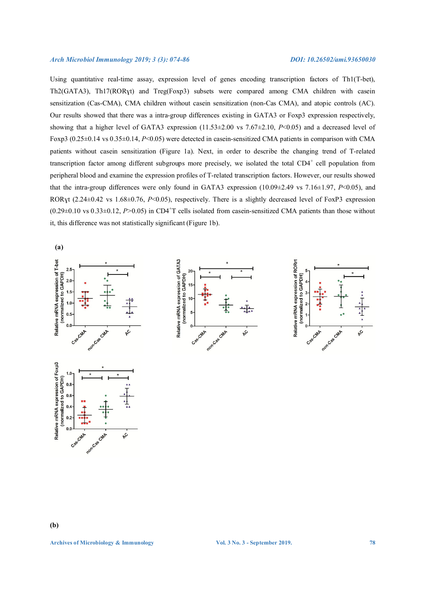Using quantitative real-time assay, expression level of genes encoding transcription factors of Th1(T-bet), Th2(GATA3), Th17(RORɣt) and Treg(Foxp3) subsets were compared among CMA children with casein sensitization (Cas-CMA), CMA children without casein sensitization (non-Cas CMA), and atopic controls (AC). Our results showed that there was a intra-group differences existing in GATA3 or Foxp3 expression respectively, showing that a higher level of GATA3 expression (11.53±2.00 vs 7.67±2.10, *P*<0.05) and a decreased level of Foxp3 (0.25±0.14 vs 0.35±0.14, *P*<0.05) were detected in casein-sensitized CMA patients in comparison with CMA patients without casein sensitization (Figure 1a). Next, in order to describe the changing trend of T-related transcription factor among different subgroups more precisely, we isolated the total CD4<sup>+</sup> cell population from peripheral blood and examine the expression profiles of T-related transcription factors. However, our results showed that the intra-group differences were only found in GATA3 expression (10.09±2.49 vs 7.16±1.97, *P*<0.05), and RORyt (2.24±0.42 vs 1.68±0.76, *P*<0.05), respectively. There is a slightly decreased level of FoxP3 expression  $(0.29\pm0.10 \text{ vs } 0.33\pm0.12, P>0.05)$  in CD4<sup>+</sup>T cells isolated from casein-sensitized CMA patients than those without it, this difference was not statistically significant (Figure 1b).

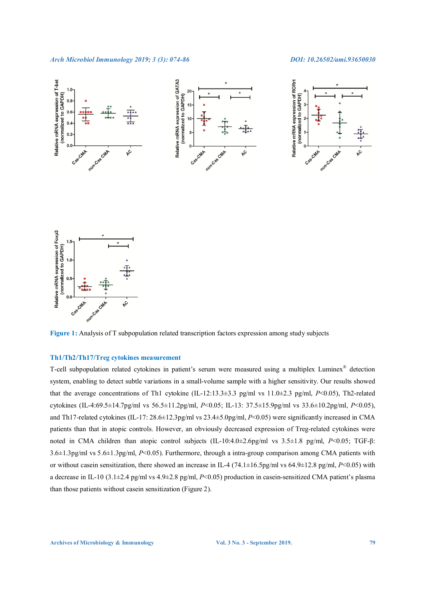

**Figure 1:** Analysis of T subpopulation related transcription factors expression among study subjects

### **Th1/Th2/Th17/Treg cytokines measurement**

T-cell subpopulation related cytokines in patient's serum were measured using a multiplex Luminex® detection system, enabling to detect subtle variations in a small-volume sample with a higher sensitivity. Our results showed that the average concentrations of Th1 cytokine (IL-12:13.3±3.3 pg/ml vs 11.0±2.3 pg/ml, *P*<0.05), Th2-related cytokines (IL-4:69.5±14.7pg/ml vs 56.5±11.2pg/ml, *P*<0.05; IL-13: 37.5±15.9pg/ml vs 33.6±10.2pg/ml, *P*<0.05), and Th17-related cytokines (IL-17: 28.6±12.3pg/ml vs 23.4±5.0pg/ml, *P*<0.05) were significantly increased in CMA patients than that in atopic controls. However, an obviously decreased expression of Treg-related cytokines were noted in CMA children than atopic control subjects (IL-10:4.0±2.6pg/ml vs 3.5±1.8 pg/ml, *P*<0.05; TGF-β: 3.6±1.3pg/ml vs 5.6±1.3pg/ml, *P*<0.05). Furthermore, through a intra-group comparison among CMA patients with or without casein sensitization, there showed an increase in IL-4 (74.1±16.5pg/ml vs 64.9±12.8 pg/ml, *P*<0.05) with a decrease in IL-10 (3.1±2.4 pg/ml vs 4.9±2.8 pg/ml, *P*<0.05) production in casein-sensitized CMA patient's plasma than those patients without casein sensitization (Figure 2).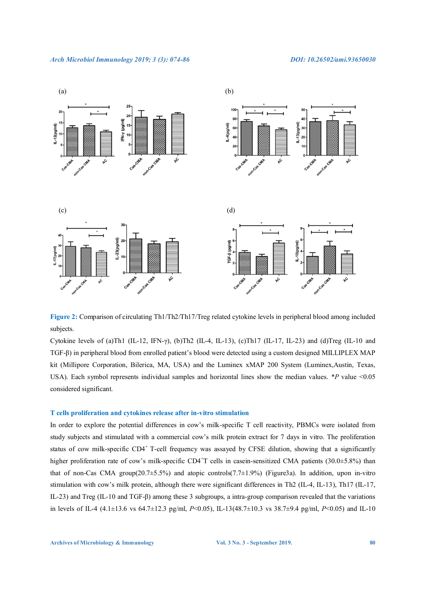

**Figure 2:** Comparison of circulating Th1/Th2/Th17/Treg related cytokine levels in peripheral blood among included subjects.

Cytokine levels of (a)Th1 (IL-12, IFN- $\gamma$ ), (b)Th2 (IL-4, IL-13), (c)Th17 (IL-17, IL-23) and (d)Treg (IL-10 and TGF-β) in peripheral blood from enrolled patient's blood were detected using a custom designed MILLIPLEX MAP kit (Millipore Corporation, Bilerica, MA, USA) and the Luminex xMAP 200 System (Luminex,Austin, Texas, USA). Each symbol represents individual samples and horizontal lines show the median values. *\*P* value <0.05 considered significant.

#### **T cells proliferation and cytokines release after in-vitro stimulation**

In order to explore the potential differences in cow's milk-specific T cell reactivity, PBMCs were isolated from study subjects and stimulated with a commercial cow's milk protein extract for 7 days in vitro. The proliferation status of cow milk-specific CD4<sup>+</sup> T-cell frequency was assayed by CFSE dilution, showing that a significantly higher proliferation rate of cow's milk-specific CD4<sup>+</sup>T cells in casein-sensitized CMA patients (30.0±5.8%) than that of non-Cas CMA group( $20.7\pm5.5\%$ ) and atopic controls( $7.7\pm1.9\%$ ) (Figure3a). In addition, upon in-vitro stimulation with cow's milk protein, although there were significant differences in Th2 (IL-4, IL-13), Th17 (IL-17, IL-23) and Treg (IL-10 and TGF-β) among these 3 subgroups, a intra-group comparison revealed that the variations in levels of IL-4 (4.1±13.6 vs 64.7±12.3 pg/ml, *P*<0.05), IL-13(48.7±10.3 vs 38.7±9.4 pg/ml, *P*<0.05) and IL-10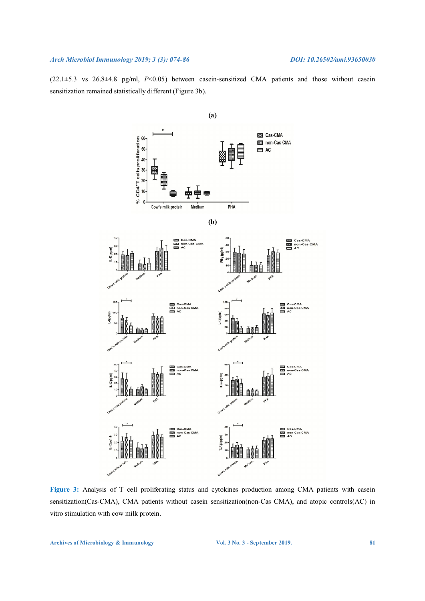(22.1±5.3 vs 26.8±4.8 pg/ml, *P*<0.05) between casein-sensitized CMA patients and those without casein sensitization remained statistically different (Figure 3b).



**Figure 3:** Analysis of T cell proliferating status and cytokines production among CMA patients with casein sensitization(Cas-CMA), CMA patients without casein sensitization(non-Cas CMA), and atopic controls(AC) in vitro stimulation with cow milk protein.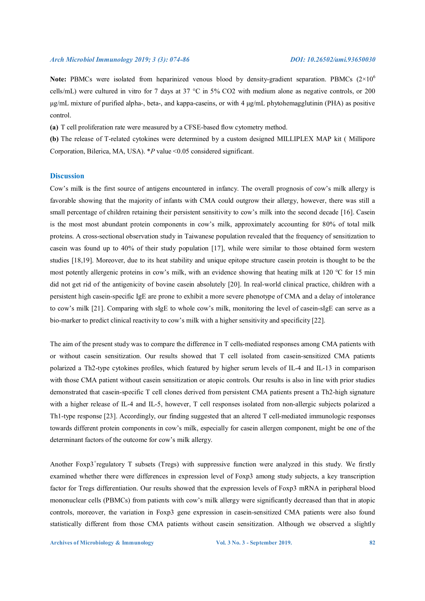**Note:** PBMCs were isolated from heparinized venous blood by density-gradient separation. PBMCs  $(2\times10^6)$ cells/mL) were cultured in vitro for 7 days at 37 °C in 5% CO2 with medium alone as negative controls, or 200 μg/mL mixture of purified alpha-, beta-, and kappa-caseins, or with 4 μg/mL phytohemagglutinin (PHA) as positive control.

**(a)** T cell proliferation rate were measured by a CFSE-based flow cytometry method.

**(b)** The release of T-related cytokines were determined by a custom designed MILLIPLEX MAP kit ( Millipore Corporation, Bilerica, MA, USA). *\*P* value <0.05 considered significant.

### **Discussion**

Cow's milk is the first source of antigens encountered in infancy. The overall prognosis of cow's milk allergy is favorable showing that the majority of infants with CMA could outgrow their allergy, however, there was still a small percentage of children retaining their persistent sensitivity to cow's milk into the second decade [16]. Casein is the most most abundant protein components in cow's milk, approximately accounting for 80% of total milk proteins. A cross-sectional observation study in Taiwanese population revealed that the frequency of sensitization to casein was found up to 40% of their study population [17], while were similar to those obtained form western studies [18,19]. Moreover, due to its heat stability and unique epitope structure casein protein is thought to be the most potently allergenic proteins in cow's milk, with an evidence showing that heating milk at 120 ℃ for 15 min did not get rid of the antigenicity of bovine casein absolutely [20]. In real-world clinical practice, children with a persistent high casein-specific IgE are prone to exhibit a more severe phenotype of CMA and a delay of intolerance to cow's milk [21]. Comparing with sIgE to whole cow's milk, monitoring the level of casein-sIgE can serve as a bio-marker to predict clinical reactivity to cow's milk with a higher sensitivity and specificity [22].

The aim of the present study was to compare the difference in T cells-mediated responses among CMA patients with or without casein sensitization. Our results showed that T cell isolated from casein-sensitized CMA patients polarized a Th2-type cytokines profiles, which featured by higher serum levels of IL-4 and IL-13 in comparison with those CMA patient without casein sensitization or atopic controls. Our results is also in line with prior studies demonstrated that casein-specific T cell clones derived from persistent CMA patients present a Th2-high signature with a higher release of IL-4 and IL-5, however, T cell responses isolated from non-allergic subjects polarized a Th1-type response [23]. Accordingly, our finding suggested that an altered T cell-mediated immunologic responses towards different protein components in cow's milk, especially for casein allergen component, might be one of the determinant factors of the outcome for cow's milk allergy.

Another Foxp3<sup>+</sup>regulatory T subsets (Tregs) with suppressive function were analyzed in this study. We firstly examined whether there were differences in expression level of Foxp3 among study subjects, a key transcription factor for Tregs differentiation. Our results showed that the expression levels of Foxp3 mRNA in peripheral blood mononuclear cells (PBMCs) from patients with cow's milk allergy were significantly decreased than that in atopic controls, moreover, the variation in Foxp3 gene expression in casein-sensitized CMA patients were also found statistically different from those CMA patients without casein sensitization. Although we observed a slightly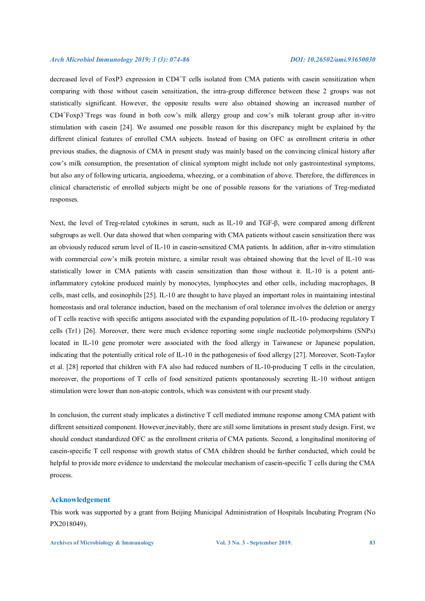decreased level of FoxP3 expression in CD4+T cells isolated from CMA patients with casein sensitization when comparing with those without casein sensitization, the intra-group difference between these 2 groups was not statistically significant. However, the opposite results were also obtained showing an increased number of CD4<sup>+</sup> Foxp3<sup>+</sup> Tregs was found in both cow's milk allergy group and cow's milk tolerant group after in-vitro stimulation with casein [24]. We assumed one possible reason for this discrepancy might be explained by the different clinical features of enrolled CMA subjects. Instead of basing on OFC as enrollment criteria in other previous studies, the diagnosis of CMA in present study was mainly based on the convincing clinical history after cow's milk consumption, the presentation of clinical symptom might include not only gastrointestinal symptoms, but also any of following urticaria, angioedema, wheezing, or a combination of above. Therefore, the differences in clinical characteristic of enrolled subjects might be one of possible reasons for the variations of Treg-mediated responses.

Next, the level of Treg-related cytokines in serum, such as IL-10 and TGF-β, were compared among different subgroups as well. Our data showed that when comparing with CMA patients without casein sensitization there was an obviously reduced serum level of IL-10 in casein-sensitized CMA patients. In addition, after in-vitro stimulation with commercial cow's milk protein mixture, a similar result was obtained showing that the level of IL-10 was statistically lower in CMA patients with casein sensitization than those without it. IL-10 is a potent antiinflammatory cytokine produced mainly by monocytes, lymphocytes and other cells, including macrophages, B cells, mast cells, and eosinophils [25]. IL-10 are thought to have played an important roles in maintaining intestinal homeostasis and oral tolerance induction, based on the mechanism of oral tolerance involves the deletion or anergy of T cells reactive with specific antigens associated with the expanding population of IL-10- producing regulatory T cells (Tr1) [26]. Moreover, there were much evidence reporting some single nucleotide polymorpshims (SNPs) located in IL-10 gene promoter were associated with the food allergy in Taiwanese or Japanese population, indicating that the potentially critical role of IL-10 in the pathogenesis of food allergy [27]. Moreover, Scott-Taylor et al. [28] reported that children with FA also had reduced numbers of IL-10-producing T cells in the circulation, moreover, the proportions of T cells of food sensitized patients spontaneously secreting IL-10 without antigen stimulation were lower than non-atopic controls, which was consistent with our present study.

In conclusion, the current study implicates a distinctive T cell mediated immune response among CMA patient with different sensitized component. However,inevitably, there are still some limitations in present study design. First, we should conduct standardized OFC as the enrollment criteria of CMA patients. Second, a longitudinal monitoring of casein-specific T cell response with growth status of CMA children should be further conducted, which could be helpful to provide more evidence to understand the molecular mechanism of casein-specific T cells during the CMA process.

#### **Acknowledgement**

This work was supported by a grant from Beijing Municipal Administration of Hospitals Incubating Program (No PX2018049).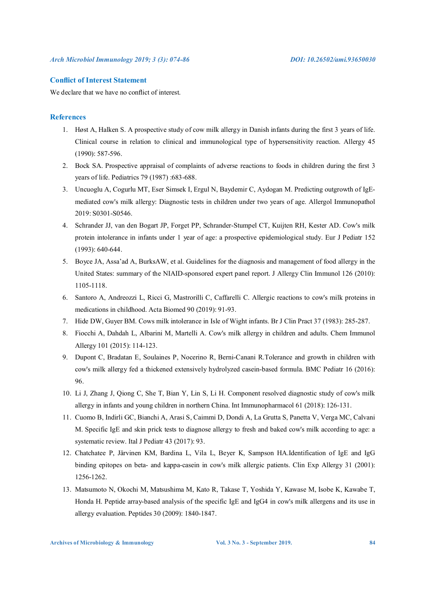#### **Conflict of Interest Statement**

We declare that we have no conflict of interest.

### **References**

- 1. Høst A, Halken S. A prospective study of cow milk allergy in Danish infants during the first 3 years of life. Clinical course in relation to clinical and immunological type of hypersensitivity reaction. Allergy 45 (1990): 587-596.
- 2. Bock SA. Prospective appraisal of complaints of adverse reactions to foods in children during the first 3 years of life. Pediatrics 79 (1987) :683-688.
- 3. Uncuoglu A, Cogurlu MT, Eser Simsek I, Ergul N, Baydemir C, Aydogan M. Predicting outgrowth of IgEmediated cow's milk allergy: Diagnostic tests in children under two years of age. Allergol Immunopathol 2019: S0301-S0546.
- 4. Schrander JJ, van den Bogart JP, Forget PP, Schrander-Stumpel CT, Kuijten RH, Kester AD. Cow's milk protein intolerance in infants under 1 year of age: a prospective epidemiological study. Eur J Pediatr 152 (1993): 640-644.
- 5. Boyce JA, Assa'ad A, BurksAW, et al. Guidelines for the diagnosis and management of food allergy in the United States: summary of the NIAID-sponsored expert panel report. J Allergy Clin Immunol 126 (2010): 1105-1118.
- 6. Santoro A, Andreozzi L, Ricci G, Mastrorilli C, Caffarelli C. Allergic reactions to cow's milk proteins in medications in childhood. Acta Biomed 90 (2019): 91-93.
- 7. Hide DW, Guyer BM. Cows milk intolerance in Isle of Wight infants. Br J Clin Pract 37 (1983): 285-287.
- 8. Fiocchi A, Dahdah L, Albarini M, Martelli A. Cow's milk allergy in children and adults. Chem Immunol Allergy 101 (2015): 114-123.
- 9. Dupont C, Bradatan E, Soulaines P, Nocerino R, Berni-Canani R.Tolerance and growth in children with cow's milk allergy fed a thickened extensively hydrolyzed casein-based formula. BMC Pediatr 16 (2016): 96.
- 10. Li J, Zhang J, Qiong C, She T, Bian Y, Lin S, Li H. Component resolved diagnostic study of cow's milk allergy in infants and young children in northern China. Int Immunopharmacol 61 (2018): 126-131.
- 11. Cuomo B, Indirli GC, Bianchi A, Arasi S, Caimmi D, Dondi A, La Grutta S, Panetta V, Verga MC, Calvani M. Specific IgE and skin prick tests to diagnose allergy to fresh and baked cow's milk according to age: a systematic review. Ital J Pediatr 43 (2017): 93.
- 12. Chatchatee P, Järvinen KM, Bardina L, Vila L, Beyer K, Sampson HA.Identification of IgE and IgG binding epitopes on beta- and kappa-casein in cow's milk allergic patients. Clin Exp Allergy 31 (2001): 1256-1262.
- 13. Matsumoto N, Okochi M, Matsushima M, Kato R, Takase T, Yoshida Y, Kawase M, Isobe K, Kawabe T, Honda H. Peptide array-based analysis of the specific IgE and IgG4 in cow's milk allergens and its use in allergy evaluation. Peptides 30 (2009): 1840-1847.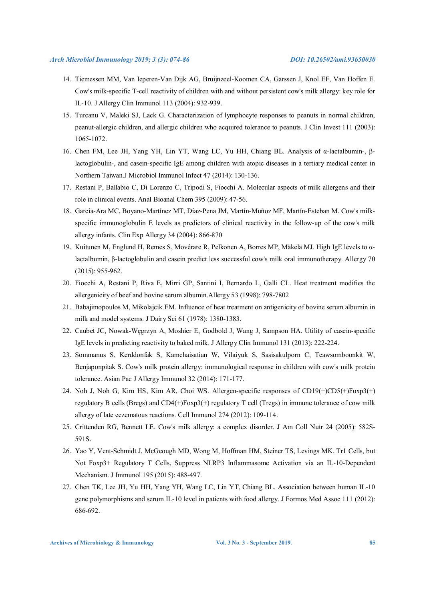- 14. Tiemessen MM, Van Ieperen-Van Dijk AG, Bruijnzeel-Koomen CA, Garssen J, Knol EF, Van Hoffen E. Cow's milk-specific T-cell reactivity of children with and without persistent cow's milk allergy: key role for IL-10. J Allergy Clin Immunol 113 (2004): 932-939.
- 15. Turcanu V, Maleki SJ, Lack G. Characterization of lymphocyte responses to peanuts in normal children, peanut-allergic children, and allergic children who acquired tolerance to peanuts. J Clin Invest 111 (2003): 1065-1072.
- 16. Chen FM, Lee JH, Yang YH, Lin YT, Wang LC, Yu HH, Chiang BL. Analysis of α-lactalbumin-, βlactoglobulin-, and casein-specific IgE among children with atopic diseases in a tertiary medical center in Northern Taiwan.J Microbiol Immunol Infect 47 (2014): 130-136.
- 17. Restani P, Ballabio C, Di Lorenzo C, Tripodi S, Fiocchi A. Molecular aspects of milk allergens and their role in clinical events. Anal Bioanal Chem 395 (2009): 47-56.
- 18. García-Ara MC, Boyano-Martínez MT, Díaz-Pena JM, Martín-Muñoz MF, Martín-Esteban M. Cow's milkspecific immunoglobulin E levels as predictors of clinical reactivity in the follow-up of the cow's milk allergy infants. Clin Exp Allergy 34 (2004): 866-870
- 19. Kuitunen M, Englund H, Remes S, Movérare R, Pelkonen A, Borres MP, Mäkelä MJ. High IgE levels to αlactalbumin, β-lactoglobulin and casein predict less successful cow's milk oral immunotherapy. Allergy 70 (2015): 955-962.
- 20. Fiocchi A, Restani P, Riva E, Mirri GP, Santini I, Bernardo L, Galli CL. Heat treatment modifies the allergenicity of beef and bovine serum albumin.Allergy 53 (1998): 798-7802
- 21. Babajimopoulos M, Mikolajcik EM. Influence of heat treatment on antigenicity of bovine serum albumin in milk and model systems. J Dairy Sci 61 (1978): 1380-1383.
- 22. Caubet JC, Nowak-Węgrzyn A, Moshier E, Godbold J, Wang J, Sampson HA. Utility of casein-specific IgE levels in predicting reactivity to baked milk. J Allergy Clin Immunol 131 (2013): 222-224.
- 23. Sommanus S, Kerddonfak S, Kamchaisatian W, Vilaiyuk S, Sasisakulporn C, Teawsomboonkit W, Benjaponpitak S. Cow's milk protein allergy: immunological response in children with cow's milk protein tolerance. Asian Pac J Allergy Immunol 32 (2014): 171-177.
- 24. Noh J, Noh G, Kim HS, Kim AR, Choi WS. Allergen-specific responses of CD19(+)CD5(+)Foxp3(+) regulatory B cells (Bregs) and CD4(+)Foxp3(+) regulatory T cell (Tregs) in immune tolerance of cow milk allergy of late eczematous reactions. Cell Immunol 274 (2012): 109-114.
- 25. Crittenden RG, Bennett LE. Cow's milk allergy: a complex disorder. J Am Coll Nutr 24 (2005): 582S-591S.
- 26. Yao Y, Vent-Schmidt J, McGeough MD, Wong M, Hoffman HM, Steiner TS, Levings MK. Tr1 Cells, but Not Foxp3+ Regulatory T Cells, Suppress NLRP3 Inflammasome Activation via an IL-10-Dependent Mechanism. J Immunol 195 (2015): 488-497.
- 27. Chen TK, Lee JH, Yu HH, Yang YH, Wang LC, Lin YT, Chiang BL. Association between human IL-10 gene polymorphisms and serum IL-10 level in patients with food allergy. J Formos Med Assoc 111 (2012): 686-692.